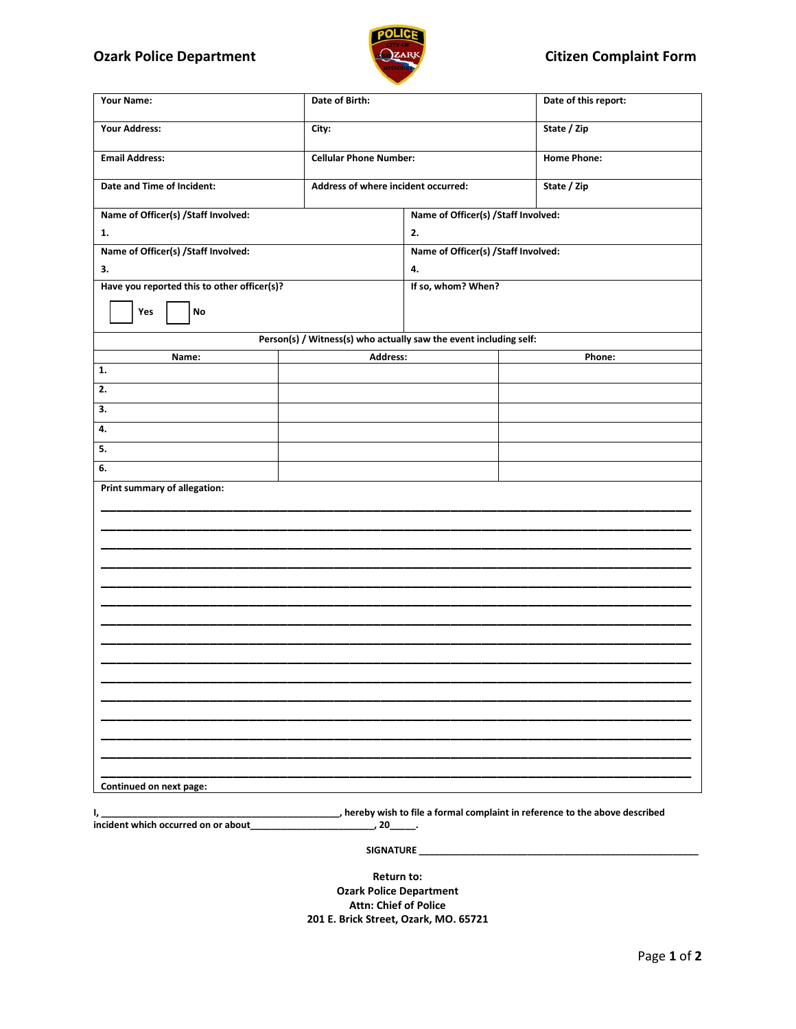## **Ozark Police Department COLLEGATE:** COLLEGATE: Complaint Form



| Your Name:                                  | Date of Birth:                                                    |                                      | Date of this report:                 |  |
|---------------------------------------------|-------------------------------------------------------------------|--------------------------------------|--------------------------------------|--|
| <b>Your Address:</b>                        | City:                                                             |                                      | State / Zip                          |  |
| <b>Email Address:</b>                       | <b>Cellular Phone Number:</b>                                     |                                      | <b>Home Phone:</b>                   |  |
| Date and Time of Incident:                  | Address of where incident occurred:                               |                                      | State / Zip                          |  |
| Name of Officer(s) /Staff Involved:         |                                                                   | Name of Officer(s) / Staff Involved: |                                      |  |
| 1.                                          | 2.                                                                |                                      |                                      |  |
| Name of Officer(s) /Staff Involved:         |                                                                   |                                      | Name of Officer(s) / Staff Involved: |  |
| 3.                                          |                                                                   | 4.                                   |                                      |  |
| Have you reported this to other officer(s)? |                                                                   |                                      | If so, whom? When?                   |  |
| Yes<br>$\mathop{\mathsf{No}}$               |                                                                   |                                      |                                      |  |
|                                             | Person(s) / Witness(s) who actually saw the event including self: |                                      |                                      |  |
| Name:                                       | Address:                                                          | Phone:                               |                                      |  |
| 1.                                          |                                                                   |                                      |                                      |  |
| 2.                                          |                                                                   |                                      |                                      |  |
| 3.                                          |                                                                   |                                      |                                      |  |
| 4.                                          |                                                                   |                                      |                                      |  |
| 5.                                          |                                                                   |                                      |                                      |  |
| 6.                                          |                                                                   |                                      |                                      |  |
| Print summary of allegation:                |                                                                   |                                      |                                      |  |
|                                             |                                                                   |                                      |                                      |  |
|                                             |                                                                   |                                      |                                      |  |
|                                             |                                                                   |                                      |                                      |  |
|                                             |                                                                   |                                      |                                      |  |
|                                             |                                                                   |                                      |                                      |  |
|                                             |                                                                   |                                      |                                      |  |
|                                             |                                                                   |                                      |                                      |  |
|                                             |                                                                   |                                      |                                      |  |
|                                             |                                                                   |                                      |                                      |  |
|                                             |                                                                   |                                      |                                      |  |
|                                             |                                                                   |                                      |                                      |  |
|                                             |                                                                   |                                      |                                      |  |
|                                             |                                                                   |                                      |                                      |  |
|                                             |                                                                   |                                      |                                      |  |
| Continued on next page:                     |                                                                   |                                      |                                      |  |

**I, \_\_\_\_\_\_\_\_\_\_\_\_\_\_\_\_\_\_\_\_\_\_\_\_\_\_\_\_\_\_\_\_\_\_\_\_\_\_\_\_\_\_\_\_\_\_, hereby wish to file a formal complaint in reference to the above described incident which occurred on or about\_\_\_\_\_\_\_\_\_\_\_\_\_\_\_\_\_\_\_\_\_\_\_\_, 20\_\_\_\_\_.**

 **SIGNATURE \_\_\_\_\_\_\_\_\_\_\_\_\_\_\_\_\_\_\_\_\_\_\_\_\_\_\_\_\_\_\_\_\_\_\_\_\_\_\_\_\_\_\_\_\_\_\_\_\_\_\_\_\_\_**

**Return to: Ozark Police Department Attn: Chief of Police 201 E. Brick Street, Ozark, MO. 65721**